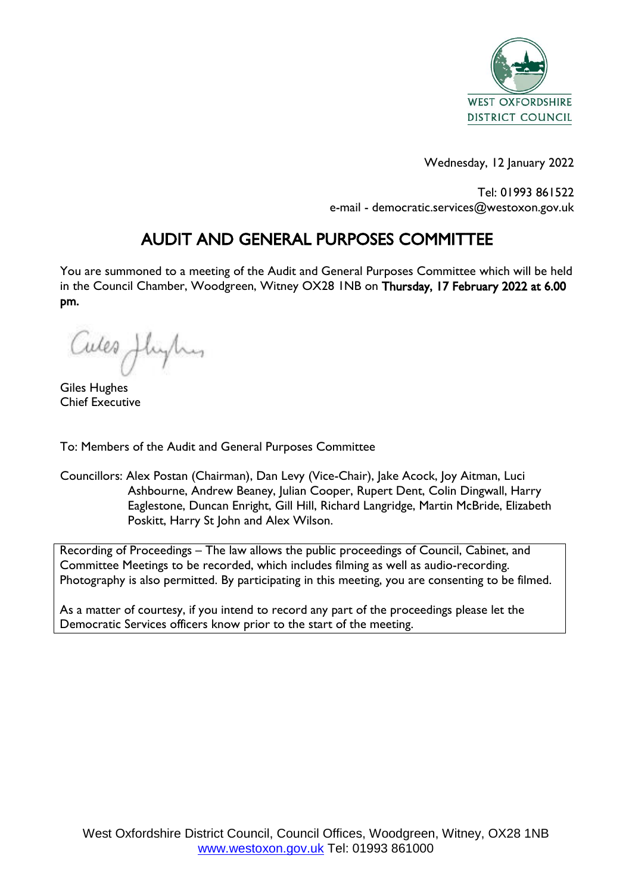

Wednesday, 12 January 2022

Tel: 01993 861522 e-mail - democratic.services@westoxon.gov.uk

# AUDIT AND GENERAL PURPOSES COMMITTEE

You are summoned to a meeting of the Audit and General Purposes Committee which will be held in the Council Chamber, Woodgreen, Witney OX28 1NB on Thursday, 17 February 2022 at 6.00 pm.

Cules Jleyhy

Giles Hughes Chief Executive

To: Members of the Audit and General Purposes Committee

Councillors: Alex Postan (Chairman), Dan Levy (Vice-Chair), Jake Acock, Joy Aitman, Luci Ashbourne, Andrew Beaney, Julian Cooper, Rupert Dent, Colin Dingwall, Harry Eaglestone, Duncan Enright, Gill Hill, Richard Langridge, Martin McBride, Elizabeth Poskitt, Harry St John and Alex Wilson.

Recording of Proceedings – The law allows the public proceedings of Council, Cabinet, and Committee Meetings to be recorded, which includes filming as well as audio-recording. Photography is also permitted. By participating in this meeting, you are consenting to be filmed.

As a matter of courtesy, if you intend to record any part of the proceedings please let the Democratic Services officers know prior to the start of the meeting.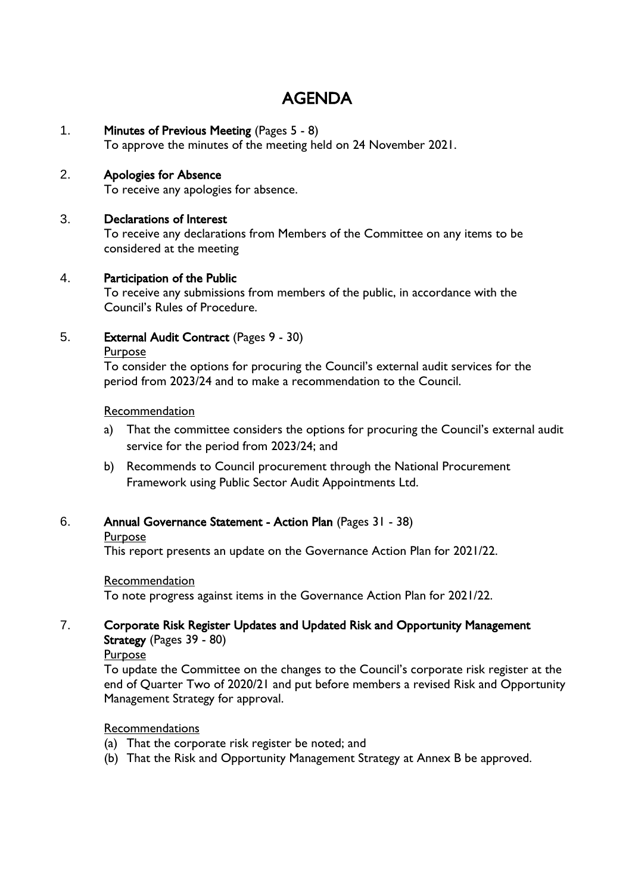# AGENDA

1. Minutes of Previous Meeting (Pages 5 - 8)

To approve the minutes of the meeting held on 24 November 2021.

# 2. Apologies for Absence

To receive any apologies for absence.

## 3. Declarations of Interest

To receive any declarations from Members of the Committee on any items to be considered at the meeting

## 4. Participation of the Public

To receive any submissions from members of the public, in accordance with the Council's Rules of Procedure.

5. External Audit Contract (Pages 9 - 30)

Purpose

To consider the options for procuring the Council's external audit services for the period from 2023/24 and to make a recommendation to the Council.

#### Recommendation

- a) That the committee considers the options for procuring the Council's external audit service for the period from 2023/24; and
- b) Recommends to Council procurement through the National Procurement Framework using Public Sector Audit Appointments Ltd.
- 6. Annual Governance Statement Action Plan (Pages 31 38)
	- Purpose

This report presents an update on the Governance Action Plan for 2021/22.

#### Recommendation

To note progress against items in the Governance Action Plan for 2021/22.

# 7. Corporate Risk Register Updates and Updated Risk and Opportunity Management Strategy (Pages 39 - 80)

Purpose

To update the Committee on the changes to the Council's corporate risk register at the end of Quarter Two of 2020/21 and put before members a revised Risk and Opportunity Management Strategy for approval.

## Recommendations

- (a) That the corporate risk register be noted; and
- (b) That the Risk and Opportunity Management Strategy at Annex B be approved.